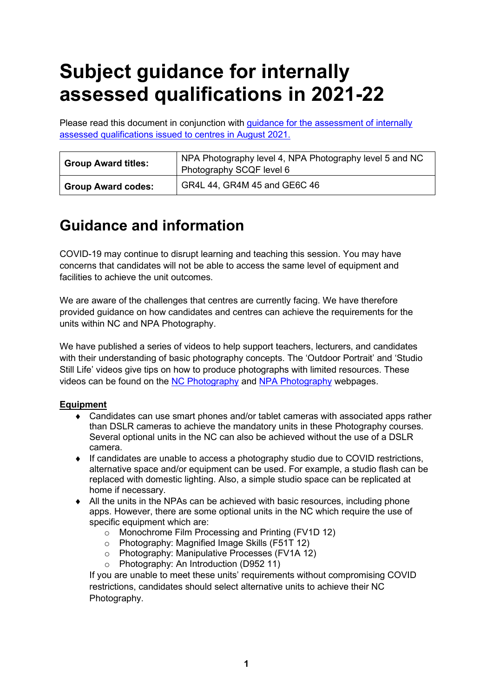# **Subject guidance for internally assessed qualifications in 2021-22**

Please read this document in conjunction with [guidance for the assessment of internally](https://www.sqa.org.uk/sqa/95044.html)  [assessed qualifications issued to centres in August 2021.](https://www.sqa.org.uk/sqa/95044.html)

| <b>Group Award titles:</b> | NPA Photography level 4, NPA Photography level 5 and NC<br>Photography SCQF level 6 |
|----------------------------|-------------------------------------------------------------------------------------|
| <b>Group Award codes:</b>  | GR4L 44, GR4M 45 and GE6C 46                                                        |

## **Guidance and information**

COVID-19 may continue to disrupt learning and teaching this session. You may have concerns that candidates will not be able to access the same level of equipment and facilities to achieve the unit outcomes.

We are aware of the challenges that centres are currently facing. We have therefore provided guidance on how candidates and centres can achieve the requirements for the units within NC and NPA Photography.

We have published a series of videos to help support teachers, lecturers, and candidates with their understanding of basic photography concepts. The 'Outdoor Portrait' and 'Studio Still Life' videos give tips on how to produce photographs with limited resources. These videos can be found on the NC [Photography](https://www.sqa.org.uk/sqa/48319.html) and [NPA Photography](https://www.sqa.org.uk/sqa/63340.html) webpages.

### **Equipment**

- ♦ Candidates can use smart phones and/or tablet cameras with associated apps rather than DSLR cameras to achieve the mandatory units in these Photography courses. Several optional units in the NC can also be achieved without the use of a DSLR camera.
- ♦ If candidates are unable to access a photography studio due to COVID restrictions, alternative space and/or equipment can be used. For example, a studio flash can be replaced with domestic lighting. Also, a simple studio space can be replicated at home if necessary.
- $\bullet$  All the units in the NPAs can be achieved with basic resources, including phone apps. However, there are some optional units in the NC which require the use of specific equipment which are:
	- o Monochrome Film Processing and Printing (FV1D 12)
	- o Photography: Magnified Image Skills (F51T 12)
	- o Photography: Manipulative Processes (FV1A 12)
	- o Photography: An Introduction (D952 11)

If you are unable to meet these units' requirements without compromising COVID restrictions, candidates should select alternative units to achieve their NC Photography.